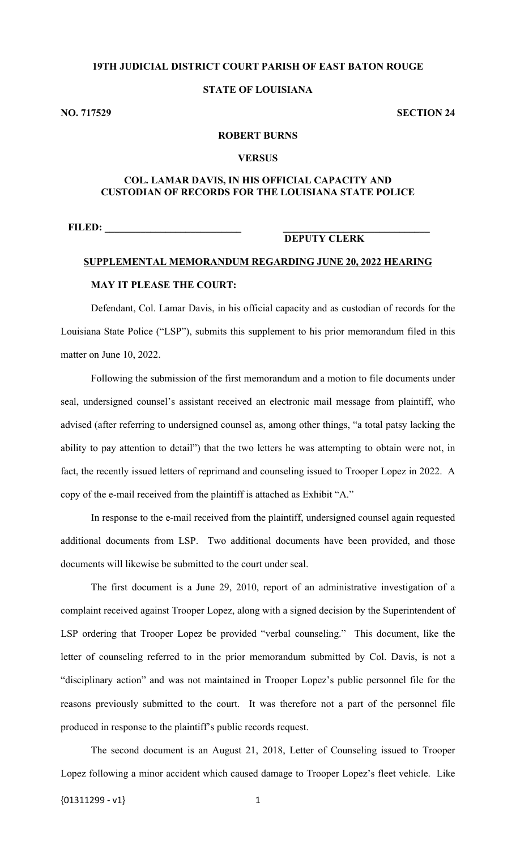## **19TH JUDICIAL DISTRICT COURT PARISH OF EAST BATON ROUGE**

#### **STATE OF LOUISIANA**

**NO. 717529 SECTION 24**

#### **ROBERT BURNS**

#### **VERSUS**

#### **COL. LAMAR DAVIS, IN HIS OFFICIAL CAPACITY AND CUSTODIAN OF RECORDS FOR THE LOUISIANA STATE POLICE**

**FILED: \_\_\_\_\_\_\_\_\_\_\_\_\_\_\_\_\_\_\_\_\_\_\_\_\_\_\_ \_\_\_\_\_\_\_\_\_\_\_\_\_\_\_\_\_\_\_\_\_\_\_\_\_\_\_\_\_**

# **DEPUTY CLERK**

# **SUPPLEMENTAL MEMORANDUM REGARDING JUNE 20, 2022 HEARING MAY IT PLEASE THE COURT:**

Defendant, Col. Lamar Davis, in his official capacity and as custodian of records for the Louisiana State Police ("LSP"), submits this supplement to his prior memorandum filed in this matter on June 10, 2022.

Following the submission of the first memorandum and a motion to file documents under seal, undersigned counsel's assistant received an electronic mail message from plaintiff, who advised (after referring to undersigned counsel as, among other things, "a total patsy lacking the ability to pay attention to detail") that the two letters he was attempting to obtain were not, in fact, the recently issued letters of reprimand and counseling issued to Trooper Lopez in 2022. A copy of the e-mail received from the plaintiff is attached as Exhibit "A."

In response to the e-mail received from the plaintiff, undersigned counsel again requested additional documents from LSP. Two additional documents have been provided, and those documents will likewise be submitted to the court under seal.

The first document is a June 29, 2010, report of an administrative investigation of a complaint received against Trooper Lopez, along with a signed decision by the Superintendent of LSP ordering that Trooper Lopez be provided "verbal counseling." This document, like the letter of counseling referred to in the prior memorandum submitted by Col. Davis, is not a "disciplinary action" and was not maintained in Trooper Lopez's public personnel file for the reasons previously submitted to the court. It was therefore not a part of the personnel file produced in response to the plaintiff's public records request.

The second document is an August 21, 2018, Letter of Counseling issued to Trooper Lopez following a minor accident which caused damage to Trooper Lopez's fleet vehicle. Like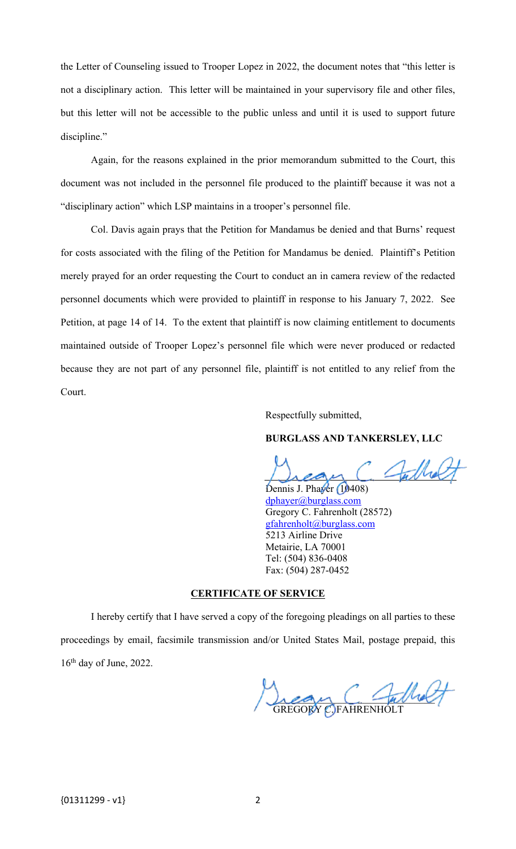the Letter of Counseling issued to Trooper Lopez in 2022, the document notes that "this letter is not a disciplinary action. This letter will be maintained in your supervisory file and other files, but this letter will not be accessible to the public unless and until it is used to support future discipline."

Again, for the reasons explained in the prior memorandum submitted to the Court, this document was not included in the personnel file produced to the plaintiff because it was not a "disciplinary action" which LSP maintains in a trooper's personnel file.

Col. Davis again prays that the Petition for Mandamus be denied and that Burns' request for costs associated with the filing of the Petition for Mandamus be denied. Plaintiff's Petition merely prayed for an order requesting the Court to conduct an in camera review of the redacted personnel documents which were provided to plaintiff in response to his January 7, 2022. See Petition, at page 14 of 14. To the extent that plaintiff is now claiming entitlement to documents maintained outside of Trooper Lopez's personnel file which were never produced or redacted because they are not part of any personnel file, plaintiff is not entitled to any relief from the Court.

Respectfully submitted,

#### **BURGLASS AND TANKERSLEY, LLC**

Sulholt

Dennis J. Phayer (10408) [dphayer@burglass.com](mailto:dphayer@burglass.com) Gregory C. Fahrenholt (28572) [gfahrenholt@burglass.com](mailto:gfahrenholt@burglass.com) 5213 Airline Drive Metairie, LA 70001 Tel: (504) 836-0408 Fax: (504) 287-0452

#### **CERTIFICATE OF SERVICE**

I hereby certify that I have served a copy of the foregoing pleadings on all parties to these proceedings by email, facsimile transmission and/or United States Mail, postage prepaid, this  $16<sup>th</sup>$  day of June, 2022.

 $length-1$ GREGORY C.)FAHRENHOLT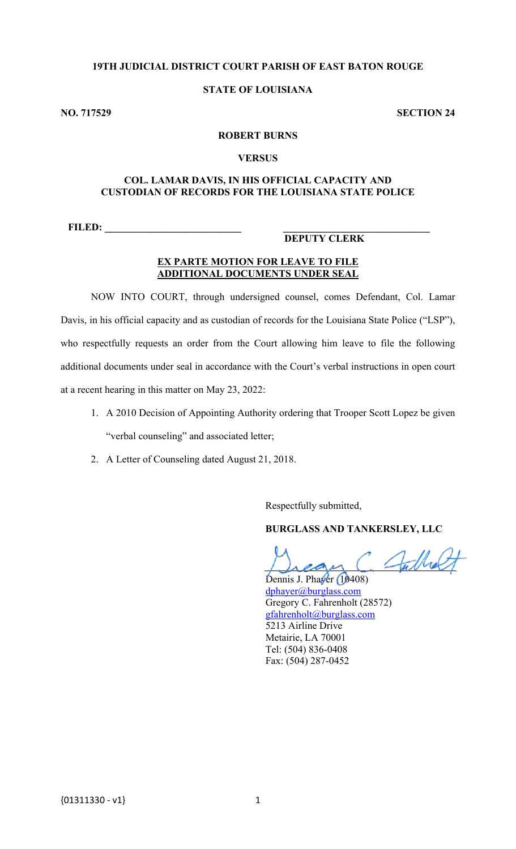# **19TH JUDICIAL DISTRICT COURT PARISH OF EAST BATON ROUGE**

### **STATE OF LOUISIANA**

**NO. 717529 SECTION 24**

#### **ROBERT BURNS**

#### **VERSUS**

#### **COL. LAMAR DAVIS, IN HIS OFFICIAL CAPACITY AND CUSTODIAN OF RECORDS FOR THE LOUISIANA STATE POLICE**

**FILED: \_\_\_\_\_\_\_\_\_\_\_\_\_\_\_\_\_\_\_\_\_\_\_\_\_\_\_ \_\_\_\_\_\_\_\_\_\_\_\_\_\_\_\_\_\_\_\_\_\_\_\_\_\_\_\_\_**

### **DEPUTY CLERK**

#### **EX PARTE MOTION FOR LEAVE TO FILE ADDITIONAL DOCUMENTS UNDER SEAL**

NOW INTO COURT, through undersigned counsel, comes Defendant, Col. Lamar Davis, in his official capacity and as custodian of records for the Louisiana State Police ("LSP"), who respectfully requests an order from the Court allowing him leave to file the following additional documents under seal in accordance with the Court's verbal instructions in open court at a recent hearing in this matter on May 23, 2022:

- 1. A 2010 Decision of Appointing Authority ordering that Trooper Scott Lopez be given "verbal counseling" and associated letter;
- 2. A Letter of Counseling dated August 21, 2018.

Respectfully submitted,

#### **BURGLASS AND TANKERSLEY, LLC**

Sullet

Dennis J. Phayer (10408) [dphayer@burglass.com](mailto:dphayer@burglass.com)  Gregory C. Fahrenholt (28572) [gfahrenholt@burglass.com](mailto:gfahrenholt@burglass.com)  5213 Airline Drive Metairie, LA 70001 Tel: (504) 836-0408 Fax: (504) 287-0452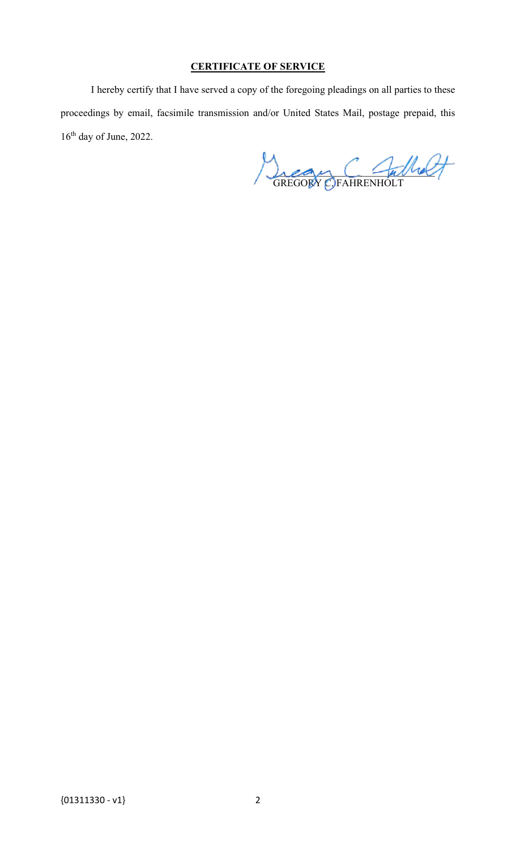# **CERTIFICATE OF SERVICE**

I hereby certify that I have served a copy of the foregoing pleadings on all parties to these proceedings by email, facsimile transmission and/or United States Mail, postage prepaid, this  $16<sup>th</sup>$  day of June, 2022.

 $hean \sqcup -\mu\mu$ GREGORY C. FAHRENHOLT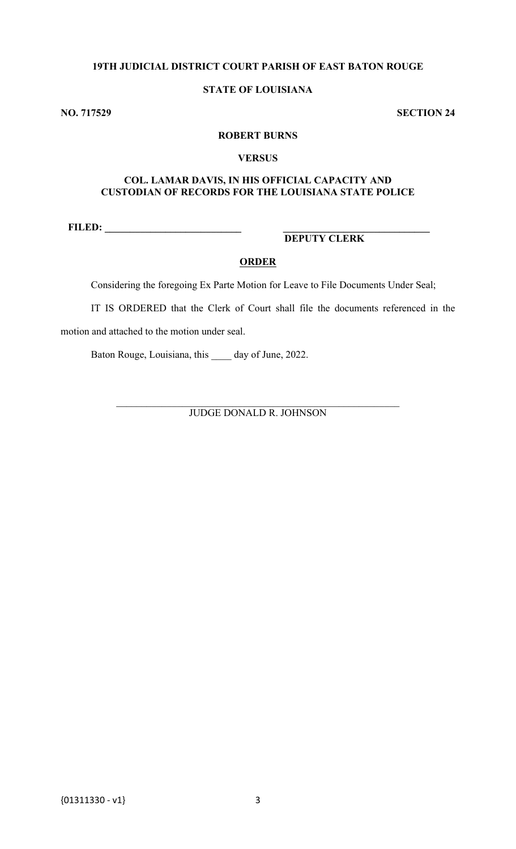# **19TH JUDICIAL DISTRICT COURT PARISH OF EAST BATON ROUGE**

# **STATE OF LOUISIANA**

**NO. 717529 SECTION 24**

## **ROBERT BURNS**

#### **VERSUS**

# **COL. LAMAR DAVIS, IN HIS OFFICIAL CAPACITY AND CUSTODIAN OF RECORDS FOR THE LOUISIANA STATE POLICE**

**FILED: \_\_\_\_\_\_\_\_\_\_\_\_\_\_\_\_\_\_\_\_\_\_\_\_\_\_\_ \_\_\_\_\_\_\_\_\_\_\_\_\_\_\_\_\_\_\_\_\_\_\_\_\_\_\_\_\_**

# **DEPUTY CLERK**

## **ORDER**

Considering the foregoing Ex Parte Motion for Leave to File Documents Under Seal;

IT IS ORDERED that the Clerk of Court shall file the documents referenced in the

motion and attached to the motion under seal.

Baton Rouge, Louisiana, this \_\_\_\_ day of June, 2022.

\_\_\_\_\_\_\_\_\_\_\_\_\_\_\_\_\_\_\_\_\_\_\_\_\_\_\_\_\_\_\_\_\_\_\_\_\_\_\_\_\_\_\_\_\_\_\_\_\_\_\_\_\_\_\_\_ JUDGE DONALD R. JOHNSON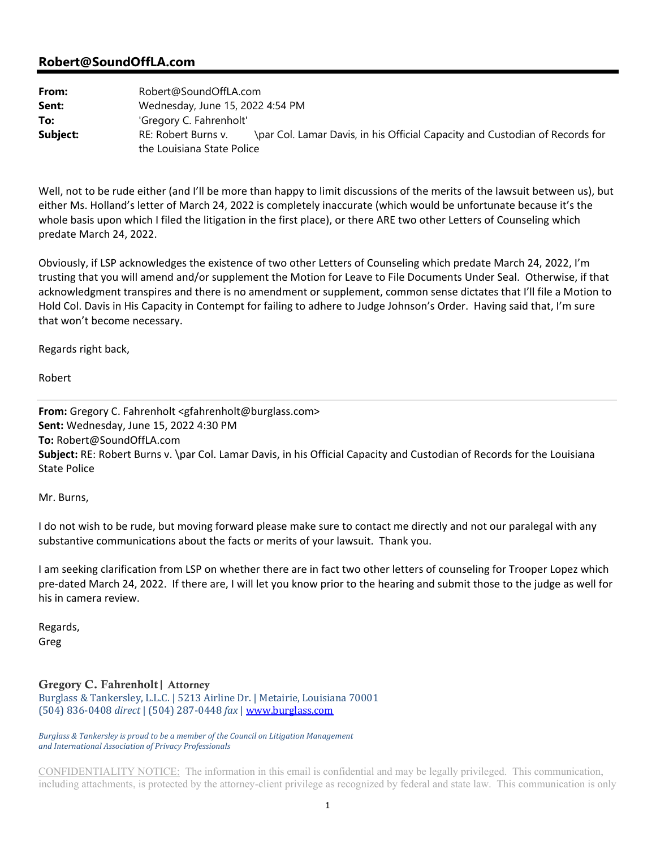### **Robert@SoundOffLA.com**

| From:    | Robert@SoundOffLA.com            |                                                                              |
|----------|----------------------------------|------------------------------------------------------------------------------|
| Sent:    | Wednesday, June 15, 2022 4:54 PM |                                                                              |
| To:      | 'Gregory C. Fahrenholt'          |                                                                              |
| Subject: | RE: Robert Burns v.              | \par Col. Lamar Davis, in his Official Capacity and Custodian of Records for |
|          | the Louisiana State Police       |                                                                              |

Well, not to be rude either (and I'll be more than happy to limit discussions of the merits of the lawsuit between us), but either Ms. Holland's letter of March 24, 2022 is completely inaccurate (which would be unfortunate because it's the whole basis upon which I filed the litigation in the first place), or there ARE two other Letters of Counseling which predate March 24, 2022.

Obviously, if LSP acknowledges the existence of two other Letters of Counseling which predate March 24, 2022, I'm trusting that you will amend and/or supplement the Motion for Leave to File Documents Under Seal. Otherwise, if that acknowledgment transpires and there is no amendment or supplement, common sense dictates that I'll file a Motion to Hold Col. Davis in His Capacity in Contempt for failing to adhere to Judge Johnson's Order. Having said that, I'm sure that won't become necessary.

Regards right back,

Robert

**From:** Gregory C. Fahrenholt <gfahrenholt@burglass.com> **Sent:** Wednesday, June 15, 2022 4:30 PM **To:** Robert@SoundOffLA.com **Subject:** RE: Robert Burns v. \par Col. Lamar Davis, in his Official Capacity and Custodian of Records for the Louisiana State Police

Mr. Burns,

I do not wish to be rude, but moving forward please make sure to contact me directly and not our paralegal with any substantive communications about the facts or merits of your lawsuit. Thank you.

I am seeking clarification from LSP on whether there are in fact two other letters of counseling for Trooper Lopez which pre‐dated March 24, 2022. If there are, I will let you know prior to the hearing and submit those to the judge as well for his in camera review.

Regards, Greg

Gregory C. Fahrenholt| Attorney

Burglass & Tankersley, L.L.C. | 5213 Airline Dr. | Metairie, Louisiana 70001 (504) 836-0408 *direct* | (504) 287-0448 *fax* | www.burglass.com

#### *Burglass & Tankersley is proud to be a member of the Council on Litigation Management and International Association of Privacy Professionals*

CONFIDENTIALITY NOTICE: The information in this email is confidential and may be legally privileged. This communication, including attachments, is protected by the attorney-client privilege as recognized by federal and state law. This communication is only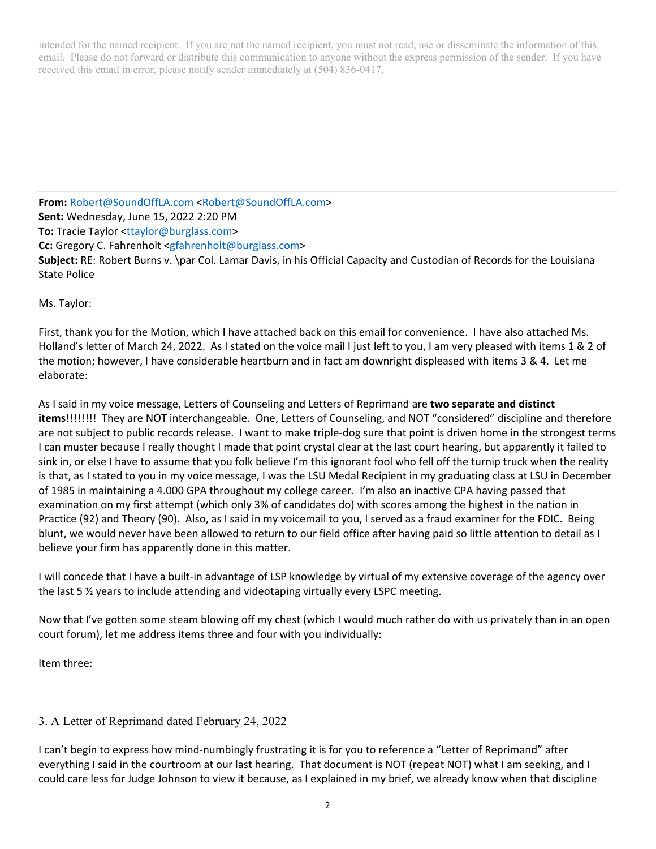intended for the named recipient. If you are not the named recipient, you must not read, use or disseminate the information of this email. Please do not forward or distribute this communication to anyone without the express permission of the sender. If you have received this email in error, please notify sender immediately at (504) 836-0417.

**From:** Robert@SoundOffLA.com <Robert@SoundOffLA.com> **Sent:** Wednesday, June 15, 2022 2:20 PM **To:** Tracie Taylor <ttaylor@burglass.com> **Cc:** Gregory C. Fahrenholt <gfahrenholt@burglass.com> **Subject:** RE: Robert Burns v. \par Col. Lamar Davis, in his Official Capacity and Custodian of Records for the Louisiana State Police

Ms. Taylor:

First, thank you for the Motion, which I have attached back on this email for convenience. I have also attached Ms. Holland's letter of March 24, 2022. As I stated on the voice mail I just left to you, I am very pleased with items 1 & 2 of the motion; however, I have considerable heartburn and in fact am downright displeased with items 3 & 4. Let me elaborate:

As I said in my voice message, Letters of Counseling and Letters of Reprimand are **two separate and distinct items**!!!!!!!! They are NOT interchangeable. One, Letters of Counseling, and NOT "considered" discipline and therefore are not subject to public records release. I want to make triple-dog sure that point is driven home in the strongest terms I can muster because I really thought I made that point crystal clear at the last court hearing, but apparently it failed to sink in, or else I have to assume that you folk believe I'm this ignorant fool who fell off the turnip truck when the reality is that, as I stated to you in my voice message, I was the LSU Medal Recipient in my graduating class at LSU in December of 1985 in maintaining a 4.000 GPA throughout my college career. I'm also an inactive CPA having passed that examination on my first attempt (which only 3% of candidates do) with scores among the highest in the nation in Practice (92) and Theory (90). Also, as I said in my voicemail to you, I served as a fraud examiner for the FDIC. Being blunt, we would never have been allowed to return to our field office after having paid so little attention to detail as I believe your firm has apparently done in this matter.

I will concede that I have a built‐in advantage of LSP knowledge by virtual of my extensive coverage of the agency over the last 5  $\frac{1}{2}$  years to include attending and videotaping virtually every LSPC meeting.

Now that I've gotten some steam blowing off my chest (which I would much rather do with us privately than in an open court forum), let me address items three and four with you individually:

Item three:

#### 3. A Letter of Reprimand dated February 24, 2022

I can't begin to express how mind‐numbingly frustrating it is for you to reference a "Letter of Reprimand" after everything I said in the courtroom at our last hearing. That document is NOT (repeat NOT) what I am seeking, and I could care less for Judge Johnson to view it because, as I explained in my brief, we already know when that discipline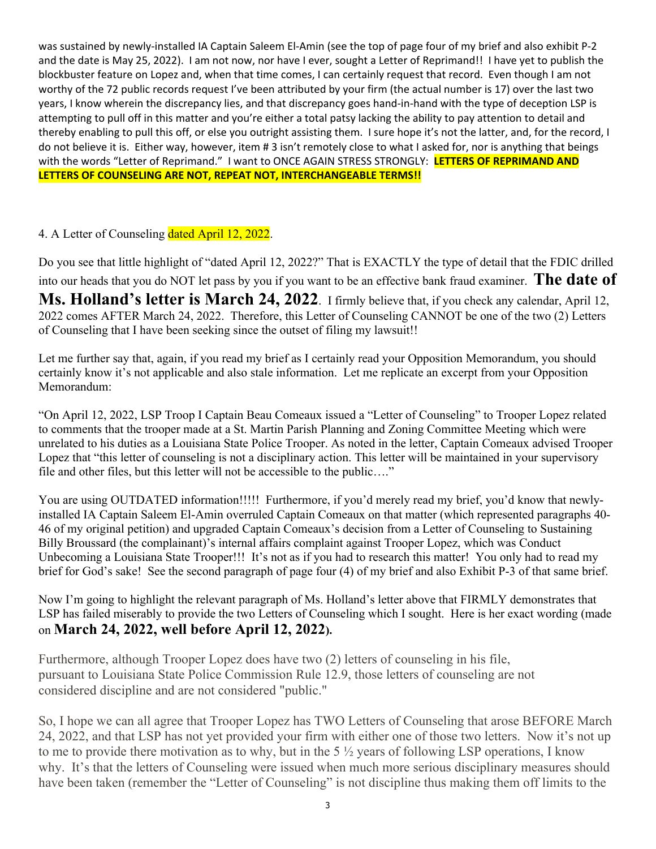was sustained by newly-installed IA Captain Saleem El-Amin (see the top of page four of my brief and also exhibit P-2 and the date is May 25, 2022). I am not now, nor have I ever, sought a Letter of Reprimand!! I have yet to publish the blockbuster feature on Lopez and, when that time comes, I can certainly request that record. Even though I am not worthy of the 72 public records request I've been attributed by your firm (the actual number is 17) over the last two years, I know wherein the discrepancy lies, and that discrepancy goes hand‐in‐hand with the type of deception LSP is attempting to pull off in this matter and you're either a total patsy lacking the ability to pay attention to detail and thereby enabling to pull this off, or else you outright assisting them. I sure hope it's not the latter, and, for the record, I do not believe it is. Either way, however, item # 3 isn't remotely close to what I asked for, nor is anything that beings with the words "Letter of Reprimand." I want to ONCE AGAIN STRESS STRONGLY: **LETTERS OF REPRIMAND AND LETTERS OF COUNSELING ARE NOT, REPEAT NOT, INTERCHANGEABLE TERMS!!**

# 4. A Letter of Counseling dated April 12, 2022.

Do you see that little highlight of "dated April 12, 2022?" That is EXACTLY the type of detail that the FDIC drilled into our heads that you do NOT let pass by you if you want to be an effective bank fraud examiner. **The date of Ms. Holland's letter is March 24, 2022**. I firmly believe that, if you check any calendar, April 12, 2022 comes AFTER March 24, 2022. Therefore, this Letter of Counseling CANNOT be one of the two (2) Letters of Counseling that I have been seeking since the outset of filing my lawsuit!!

Let me further say that, again, if you read my brief as I certainly read your Opposition Memorandum, you should certainly know it's not applicable and also stale information. Let me replicate an excerpt from your Opposition Memorandum:

"On April 12, 2022, LSP Troop I Captain Beau Comeaux issued a "Letter of Counseling" to Trooper Lopez related to comments that the trooper made at a St. Martin Parish Planning and Zoning Committee Meeting which were unrelated to his duties as a Louisiana State Police Trooper. As noted in the letter, Captain Comeaux advised Trooper Lopez that "this letter of counseling is not a disciplinary action. This letter will be maintained in your supervisory file and other files, but this letter will not be accessible to the public…."

You are using OUTDATED information!!!!! Furthermore, if you'd merely read my brief, you'd know that newlyinstalled IA Captain Saleem El-Amin overruled Captain Comeaux on that matter (which represented paragraphs 40- 46 of my original petition) and upgraded Captain Comeaux's decision from a Letter of Counseling to Sustaining Billy Broussard (the complainant)'s internal affairs complaint against Trooper Lopez, which was Conduct Unbecoming a Louisiana State Trooper!!! It's not as if you had to research this matter! You only had to read my brief for God's sake! See the second paragraph of page four (4) of my brief and also Exhibit P-3 of that same brief.

Now I'm going to highlight the relevant paragraph of Ms. Holland's letter above that FIRMLY demonstrates that LSP has failed miserably to provide the two Letters of Counseling which I sought. Here is her exact wording (made on **March 24, 2022, well before April 12, 2022).**

Furthermore, although Trooper Lopez does have two (2) letters of counseling in his file, pursuant to Louisiana State Police Commission Rule 12.9, those letters of counseling are not considered discipline and are not considered "public."

So, I hope we can all agree that Trooper Lopez has TWO Letters of Counseling that arose BEFORE March 24, 2022, and that LSP has not yet provided your firm with either one of those two letters. Now it's not up to me to provide there motivation as to why, but in the 5 ½ years of following LSP operations, I know why. It's that the letters of Counseling were issued when much more serious disciplinary measures should have been taken (remember the "Letter of Counseling" is not discipline thus making them off limits to the